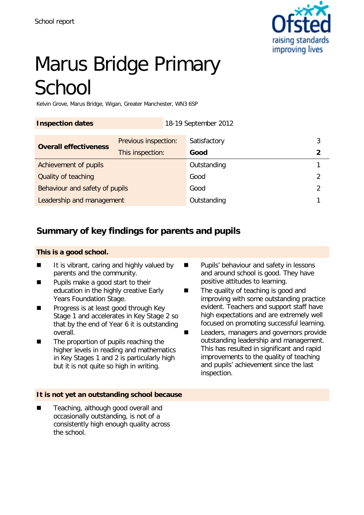

# Marus Bridge Primary **School**

Kelvin Grove, Marus Bridge, Wigan, Greater Manchester, WN3 6SP

| <b>Inspection dates</b> |  |
|-------------------------|--|
|                         |  |

**Inspection dates** 18-19 September 2012

| <b>Overall effectiveness</b>   | Previous inspection: | Satisfactory |  |
|--------------------------------|----------------------|--------------|--|
|                                | This inspection:     | Good         |  |
| Achievement of pupils          |                      | Outstanding  |  |
| Quality of teaching            |                      | Good         |  |
| Behaviour and safety of pupils |                      | Good         |  |
| Leadership and management      |                      | Outstanding  |  |

# **Summary of key findings for parents and pupils**

#### **This is a good school.**

- $\blacksquare$  It is vibrant, caring and highly valued by parents and the community.
- **Pupils make a good start to their** education in the highly creative Early Years Foundation Stage.
- Progress is at least good through Key Stage 1 and accelerates in Key Stage 2 so that by the end of Year 6 it is outstanding overall.
- The proportion of pupils reaching the higher levels in reading and mathematics in Key Stages 1 and 2 is particularly high but it is not quite so high in writing.
- **Pupils' behaviour and safety in lessons** and around school is good. They have positive attitudes to learning.
- The quality of teaching is good and improving with some outstanding practice evident. Teachers and support staff have high expectations and are extremely well focused on promoting successful learning.
- Leaders, managers and governors provide outstanding leadership and management. This has resulted in significant and rapid improvements to the quality of teaching and pupils' achievement since the last inspection.

#### **It is not yet an outstanding school because**

 Teaching, although good overall and occasionally outstanding, is not of a consistently high enough quality across the school.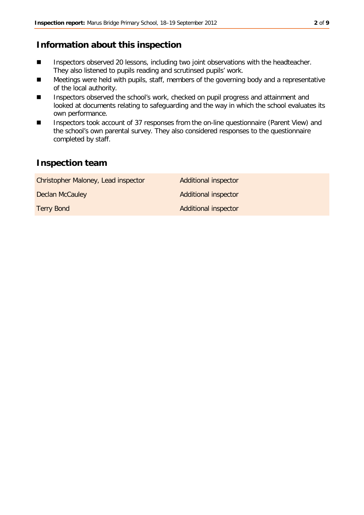#### **Information about this inspection**

- **Inspectors observed 20 lessons, including two joint observations with the headteacher.** They also listened to pupils reading and scrutinsed pupils' work.
- Meetings were held with pupils, staff, members of the governing body and a representative of the local authority.
- Inspectors observed the school's work, checked on pupil progress and attainment and looked at documents relating to safeguarding and the way in which the school evaluates its own performance.
- Inspectors took account of 37 responses from the on-line questionnaire (Parent View) and the school's own parental survey. They also considered responses to the questionnaire completed by staff.

# **Inspection team**

| Christopher Maloney, Lead inspector | <b>Additional inspector</b> |
|-------------------------------------|-----------------------------|
| Declan McCauley                     | <b>Additional inspector</b> |
| <b>Terry Bond</b>                   | <b>Additional inspector</b> |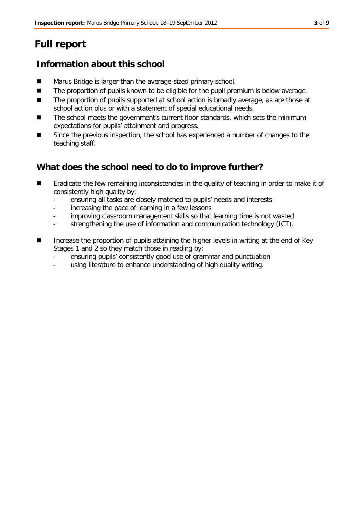# **Full report**

# **Information about this school**

- Marus Bridge is larger than the average-sized primary school.
- The proportion of pupils known to be eligible for the pupil premium is below average.
- The proportion of pupils supported at school action is broadly average, as are those at school action plus or with a statement of special educational needs.
- The school meets the government's current floor standards, which sets the minimum expectations for pupils' attainment and progress.
- Since the previous inspection, the school has experienced a number of changes to the teaching staff.

# **What does the school need to do to improve further?**

- Eradicate the few remaining inconsistencies in the quality of teaching in order to make it of consistently high quality by:
	- ensuring all tasks are closely matched to pupils' needs and interests
	- increasing the pace of learning in a few lessons
	- improving classroom management skills so that learning time is not wasted
	- strengthening the use of information and communication technology (ICT).
- Increase the proportion of pupils attaining the higher levels in writing at the end of Key Stages 1 and 2 so they match those in reading by:
	- ensuring pupils' consistently good use of grammar and punctuation
	- using literature to enhance understanding of high quality writing.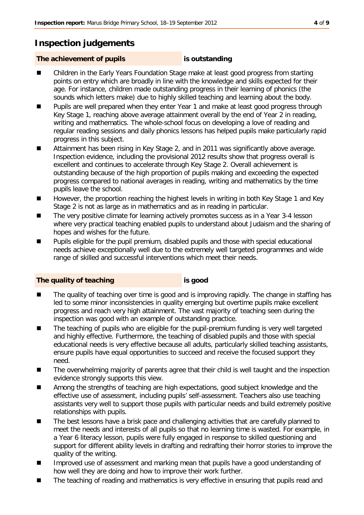# **Inspection judgements**

#### **The achievement of pupils is outstanding**

- Children in the Early Years Foundation Stage make at least good progress from starting points on entry which are broadly in line with the knowledge and skills expected for their age. For instance, children made outstanding progress in their learning of phonics (the sounds which letters make) due to highly skilled teaching and learning about the body.
- Pupils are well prepared when they enter Year 1 and make at least good progress through Key Stage 1, reaching above average attainment overall by the end of Year 2 in reading, writing and mathematics. The whole-school focus on developing a love of reading and regular reading sessions and daily phonics lessons has helped pupils make particularly rapid progress in this subject.
- Attainment has been rising in Key Stage 2, and in 2011 was significantly above average. Inspection evidence, including the provisional 2012 results show that progress overall is excellent and continues to accelerate through Key Stage 2. Overall achievement is outstanding because of the high proportion of pupils making and exceeding the expected progress compared to national averages in reading, writing and mathematics by the time pupils leave the school.
- However, the proportion reaching the highest levels in writing in both Key Stage 1 and Key Stage 2 is not as large as in mathematics and as in reading in particular.
- The very positive climate for learning actively promotes success as in a Year 3-4 lesson where very practical teaching enabled pupils to understand about Judaism and the sharing of hopes and wishes for the future.
- Pupils eligible for the pupil premium, disabled pupils and those with special educational needs achieve exceptionally well due to the extremely well targeted programmes and wide range of skilled and successful interventions which meet their needs.

#### **The quality of teaching is good**

- The quality of teaching over time is good and is improving rapidly. The change in staffing has led to some minor inconsistencies in quality emerging but overtime pupils make excellent progress and reach very high attainment. The vast majority of teaching seen during the inspection was good with an example of outstanding practice.
- The teaching of pupils who are eligible for the pupil-premium funding is very well targeted and highly effective. Furthermore, the teaching of disabled pupils and those with special educational needs is very effective because all adults, particularly skilled teaching assistants, ensure pupils have equal opportunities to succeed and receive the focused support they need.
- The overwhelming majority of parents agree that their child is well taught and the inspection evidence strongly supports this view.
- Among the strengths of teaching are high expectations, good subject knowledge and the effective use of assessment, including pupils' self-assessment. Teachers also use teaching assistants very well to support those pupils with particular needs and build extremely positive relationships with pupils.
- The best lessons have a brisk pace and challenging activities that are carefully planned to meet the needs and interests of all pupils so that no learning time is wasted. For example, in a Year 6 literacy lesson, pupils were fully engaged in response to skilled questioning and support for different ability levels in drafting and redrafting their horror stories to improve the quality of the writing.
- Improved use of assessment and marking mean that pupils have a good understanding of how well they are doing and how to improve their work further.
- The teaching of reading and mathematics is very effective in ensuring that pupils read and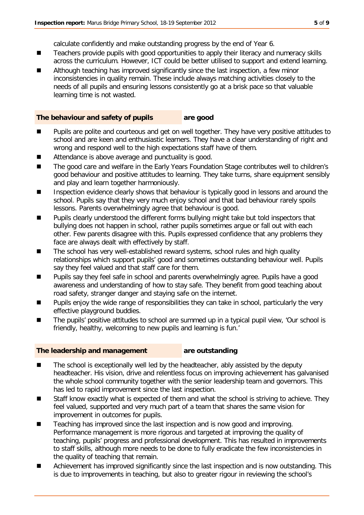calculate confidently and make outstanding progress by the end of Year 6.

- Teachers provide pupils with good opportunities to apply their literacy and numeracy skills across the curriculum. However, ICT could be better utilised to support and extend learning.
- Although teaching has improved significantly since the last inspection, a few minor inconsistencies in quality remain. These include always matching activities closely to the needs of all pupils and ensuring lessons consistently go at a brisk pace so that valuable learning time is not wasted.

#### **The behaviour and safety of pupils are good**

- Pupils are polite and courteous and get on well together. They have very positive attitudes to school and are keen and enthusiastic learners. They have a clear understanding of right and wrong and respond well to the high expectations staff have of them.
- Attendance is above average and punctuality is good.
- The good care and welfare in the Early Years Foundation Stage contributes well to children's good behaviour and positive attitudes to learning. They take turns, share equipment sensibly and play and learn together harmoniously.
- Inspection evidence clearly shows that behaviour is typically good in lessons and around the school. Pupils say that they very much enjoy school and that bad behaviour rarely spoils lessons. Parents overwhelmingly agree that behaviour is good.
- Pupils clearly understood the different forms bullying might take but told inspectors that bullying does not happen in school, rather pupils sometimes argue or fall out with each other. Few parents disagree with this. Pupils expressed confidence that any problems they face are always dealt with effectively by staff.
- The school has very well-established reward systems, school rules and high quality relationships which support pupils' good and sometimes outstanding behaviour well. Pupils say they feel valued and that staff care for them.
- **Pupils say they feel safe in school and parents overwhelmingly agree. Pupils have a good** awareness and understanding of how to stay safe. They benefit from good teaching about road safety, stranger danger and staying safe on the internet.
- **Pupils enjoy the wide range of responsibilities they can take in school, particularly the very** effective playground buddies.
- The pupils' positive attitudes to school are summed up in a typical pupil view, 'Our school is friendly, healthy, welcoming to new pupils and learning is fun.'

#### **The leadership and management are outstanding**

- The school is exceptionally well led by the headteacher, ably assisted by the deputy headteacher. His vision, drive and relentless focus on improving achievement has galvanised the whole school community together with the senior leadership team and governors. This has led to rapid improvement since the last inspection.
- Staff know exactly what is expected of them and what the school is striving to achieve. They feel valued, supported and very much part of a team that shares the same vision for improvement in outcomes for pupils.
- Teaching has improved since the last inspection and is now good and improving. Performance management is more rigorous and targeted at improving the quality of teaching, pupils' progress and professional development. This has resulted in improvements to staff skills, although more needs to be done to fully eradicate the few inconsistencies in the quality of teaching that remain.
- Achievement has improved significantly since the last inspection and is now outstanding. This is due to improvements in teaching, but also to greater rigour in reviewing the school's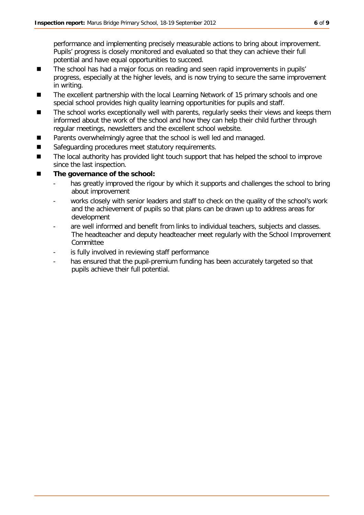performance and implementing precisely measurable actions to bring about improvement. Pupils' progress is closely monitored and evaluated so that they can achieve their full potential and have equal opportunities to succeed.

- The school has had a major focus on reading and seen rapid improvements in pupils' progress, especially at the higher levels, and is now trying to secure the same improvement in writing.
- The excellent partnership with the local Learning Network of 15 primary schools and one special school provides high quality learning opportunities for pupils and staff.
- The school works exceptionally well with parents, regularly seeks their views and keeps them informed about the work of the school and how they can help their child further through regular meetings, newsletters and the excellent school website.
- Parents overwhelmingly agree that the school is well led and managed.
- Safeguarding procedures meet statutory requirements.
- The local authority has provided light touch support that has helped the school to improve since the last inspection.

#### **The governance of the school:**

- has greatly improved the rigour by which it supports and challenges the school to bring about improvement
- works closely with senior leaders and staff to check on the quality of the school's work and the achievement of pupils so that plans can be drawn up to address areas for development
- are well informed and benefit from links to individual teachers, subjects and classes. The headteacher and deputy headteacher meet regularly with the School Improvement Committee
- is fully involved in reviewing staff performance
- has ensured that the pupil-premium funding has been accurately targeted so that pupils achieve their full potential.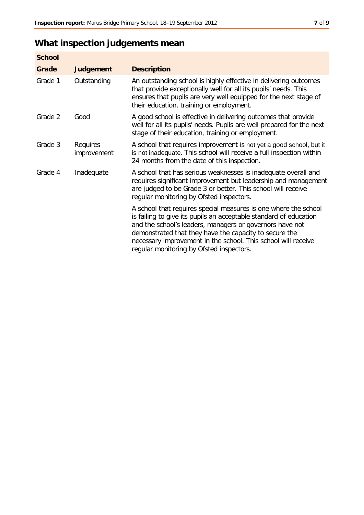# **What inspection judgements mean**

| <b>School</b> |                         |                                                                                                                                                                                                                                                                                                                                                                         |
|---------------|-------------------------|-------------------------------------------------------------------------------------------------------------------------------------------------------------------------------------------------------------------------------------------------------------------------------------------------------------------------------------------------------------------------|
| Grade         | <b>Judgement</b>        | <b>Description</b>                                                                                                                                                                                                                                                                                                                                                      |
| Grade 1       | Outstanding             | An outstanding school is highly effective in delivering outcomes<br>that provide exceptionally well for all its pupils' needs. This<br>ensures that pupils are very well equipped for the next stage of<br>their education, training or employment.                                                                                                                     |
| Grade 2       | Good                    | A good school is effective in delivering outcomes that provide<br>well for all its pupils' needs. Pupils are well prepared for the next<br>stage of their education, training or employment.                                                                                                                                                                            |
| Grade 3       | Requires<br>improvement | A school that requires improvement is not yet a good school, but it<br>is not inadequate. This school will receive a full inspection within<br>24 months from the date of this inspection.                                                                                                                                                                              |
| Grade 4       | Inadequate              | A school that has serious weaknesses is inadequate overall and<br>requires significant improvement but leadership and management<br>are judged to be Grade 3 or better. This school will receive<br>regular monitoring by Ofsted inspectors.                                                                                                                            |
|               |                         | A school that requires special measures is one where the school<br>is failing to give its pupils an acceptable standard of education<br>and the school's leaders, managers or governors have not<br>demonstrated that they have the capacity to secure the<br>necessary improvement in the school. This school will receive<br>regular monitoring by Ofsted inspectors. |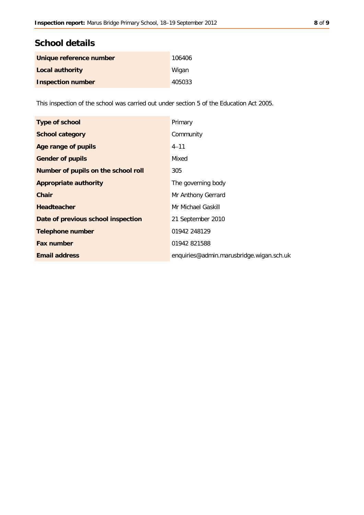# **School details**

| Unique reference number  | 106406 |
|--------------------------|--------|
| <b>Local authority</b>   | Wigan  |
| <b>Inspection number</b> | 405033 |

This inspection of the school was carried out under section 5 of the Education Act 2005.

| <b>Type of school</b>               | Primary                                  |
|-------------------------------------|------------------------------------------|
| <b>School category</b>              | Community                                |
| Age range of pupils                 | $4 - 11$                                 |
| <b>Gender of pupils</b>             | Mixed                                    |
| Number of pupils on the school roll | 305                                      |
| Appropriate authority               | The governing body                       |
| <b>Chair</b>                        | Mr Anthony Gerrard                       |
| <b>Headteacher</b>                  | Mr Michael Gaskill                       |
| Date of previous school inspection  | 21 September 2010                        |
| Telephone number                    | 01942 248129                             |
| <b>Fax number</b>                   | 01942 821588                             |
| <b>Email address</b>                | enquiries@admin.marusbridge.wigan.sch.uk |